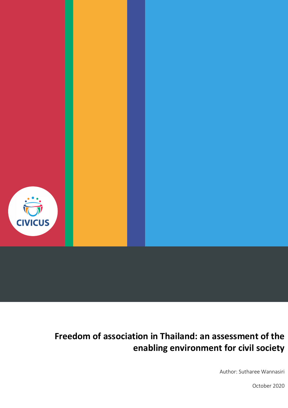

# **Freedom of association in Thailand: an assessment of the enabling environment for civil society**

Author: Sutharee Wannasiri

October 2020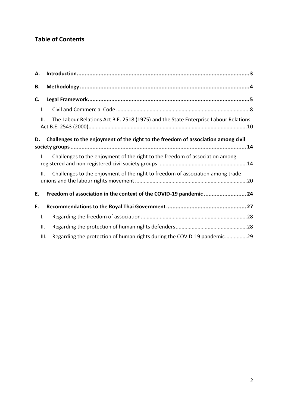# **Table of Contents**

| А.  |                                                                                     |
|-----|-------------------------------------------------------------------------------------|
| В.  |                                                                                     |
| C.  |                                                                                     |
| I.  |                                                                                     |
| Ш.  | The Labour Relations Act B.E. 2518 (1975) and the State Enterprise Labour Relations |
| D.  | Challenges to the enjoyment of the right to the freedom of association among civil  |
| I.  | Challenges to the enjoyment of the right to the freedom of association among        |
| Ш.  | Challenges to the enjoyment of the right to freedom of association among trade      |
| Е.  | Freedom of association in the context of the COVID-19 pandemic  24                  |
| F.  |                                                                                     |
| I.  |                                                                                     |
| ΙΙ. |                                                                                     |
|     | Regarding the protection of human rights during the COVID-19 pandemic29<br>III.     |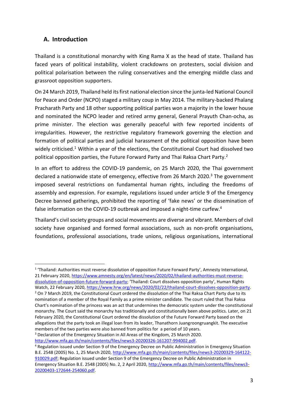# <span id="page-2-0"></span>**A. Introduction**

Thailand is a constitutional monarchy with King Rama X as the head of state. Thailand has faced years of political instability, violent crackdowns on protesters, social division and political polarisation between the ruling conservatives and the emerging middle class and grassroot opposition supporters.

On 24 March 2019, Thailand held its first national election since the junta-led National Council for Peace and Order (NCPO) staged a military coup in May 2014. The military-backed Phalang Pracharath Party and 18 other supporting political parties won a majority in the lower house and nominated the NCPO leader and retired army general, General Prayuth Chan-ocha, as prime minister. The election was generally peaceful with few reported incidents of irregularities. However, the restrictive regulatory framework governing the election and formation of political parties and judicial harassment of the political opposition have been widely criticised.<sup>1</sup> Within a year of the elections, the Constitutional Court had dissolved two political opposition parties, the Future Forward Party and Thai Raksa Chart Party.<sup>2</sup>

In an effort to address the COVID-19 pandemic, on 25 March 2020, the Thai government declared a nationwide state of emergency, effective from 26 March 2020. $3$  The government imposed several restrictions on fundamental human rights, including the freedoms of assembly and expression. For example, regulations issued under article 9 of the Emergency Decree banned gatherings, prohibited the reporting of 'fake news' or the dissemination of false information on the COVID-19 outbreak and imposed a night-time curfew.<sup>4</sup>

Thailand's civil society groups and social movements are diverse and vibrant. Members of civil society have organised and formed formal associations, such as non-profit organisations, foundations, professional associations, trade unions, religious organisations, international

1 'Thailand: Authorities must reverse dissolution of opposition Future Forward Party', Amnesty International, 21 February 2020, [https://www.amnesty.org/en/latest/news/2020/02/thailand-authorities-must-reverse](https://www.amnesty.org/en/latest/news/2020/02/thailand-authorities-must-reverse-dissolution-of-opposition-future-forward-party/)[dissolution-of-opposition-future-forward-party](https://www.amnesty.org/en/latest/news/2020/02/thailand-authorities-must-reverse-dissolution-of-opposition-future-forward-party/); 'Thailand: Court dissolves opposition party', Human Rights

<sup>3</sup> Declaration of the Emergency Situation in All Areas of the Kingdom, 25 March 2020. [http://www.mfa.go.th/main/contents/files/news3-20200326-161207-994002.pdf.](http://www.mfa.go.th/main/contents/files/news3-20200326-161207-994002.pdf)

Watch, 22 February 2020, [https://www.hrw.org/news/2020/02/22/thailand-court-dissolves-opposition-party.](https://www.hrw.org/news/2020/02/22/thailand-court-dissolves-opposition-party) <sup>2</sup> On 7 March 2019, the Constitutional Court ordered the dissolution of the Thai Raksa Chart Party due to its nomination of a member of the Royal Family as a prime minister candidate. The court ruled that Thai Raksa Chart's nomination of the princess was an act that undermines the democratic system under the constitutional monarchy. The Court said the monarchy has traditionally and constitutionally been above politics. Later, on 21 February 2020, the Constitutional Court ordered the dissolution of the Future Forward Party based on the allegations that the party took an illegal loan from its leader, Thanathorn Juangroongruangkit. The executive members of the two parties were also banned from politics for a period of 10 years.

<sup>4</sup> Regulation issued under Section 9 of the Emergency Decree on Public Administration in Emergency Situation B.E. 2548 (2005) No. 1, 25 March 2020, [http://www.mfa.go.th/main/contents/files/news3-20200329-164122-](http://www.mfa.go.th/main/contents/files/news3-20200329-164122-910029.pdf) [910029.pdf;](http://www.mfa.go.th/main/contents/files/news3-20200329-164122-910029.pdf) Regulation issued under Section 9 of the Emergency Decree on Public Administration in Emergency Situation B.E. 2548 (2005) No. 2, 2 April 2020, [http://www.mfa.go.th/main/contents/files/news3-](http://www.mfa.go.th/main/contents/files/news3-20200403-172644-254060.pdf) [20200403-172644-254060.pdf.](http://www.mfa.go.th/main/contents/files/news3-20200403-172644-254060.pdf)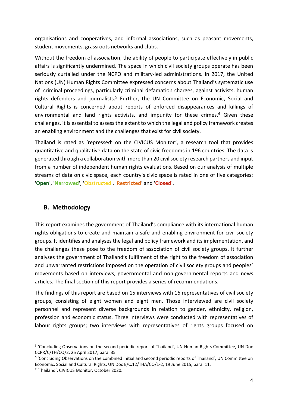organisations and cooperatives, and informal associations, such as peasant movements, student movements, grassroots networks and clubs.

Without the freedom of association, the ability of people to participate effectively in public affairs is significantly undermined. The space in which civil society groups operate has been seriously curtailed under the NCPO and military-led administrations. In 2017, the United Nations (UN) Human Rights Committee expressed concerns about Thailand's systematic use of criminal proceedings, particularly criminal defamation charges, against activists, human rights defenders and journalists.<sup>5</sup> Further, the UN Committee on Economic, Social and Cultural Rights is concerned about reports of enforced disappearances and killings of environmental and land rights activists, and impunity for these crimes. <sup>6</sup> Given these challenges, it is essential to assess the extent to which the legal and policy framework creates an enabling environment and the challenges that exist for civil society.

Thailand is rated as 'repressed' on the CIVICUS Monitor<sup>7</sup>, a research tool that provides quantitative and qualitative data on the state of civic freedoms in 196 countries. The data is generated through a collaboration with more than 20 civil society research partners and input from a number of independent human rights evaluations. Based on our analysis of multiple streams of data on civic space, each country's civic space is rated in one of five categories: '**Open**', '**Narrowed**', '**Obstructed**', '**Restricted**' and '**Closed**'.

# <span id="page-3-0"></span>**B. Methodology**

This report examines the government of Thailand's compliance with its international human rights obligations to create and maintain a safe and enabling environment for civil society groups. It identifies and analyses the legal and policy framework and its implementation, and the challenges these pose to the freedom of association of civil society groups. It further analyses the government of Thailand's fulfilment of the right to the freedom of association and unwarranted restrictions imposed on the operation of civil society groups and peoples' movements based on interviews, governmental and non-governmental reports and news articles. The final section of this report provides a series of recommendations.

The findings of this report are based on 15 interviews with 16 representatives of civil society groups, consisting of eight women and eight men. Those interviewed are civil society personnel and represent diverse backgrounds in relation to gender, ethnicity, religion, profession and economic status. Three interviews were conducted with representatives of labour rights groups; two interviews with representatives of rights groups focused on

<sup>5</sup> 'Concluding Observations on the second periodic report of Thailand', UN Human Rights Committee, UN Doc CCPR/C/TH/CO/2, 25 April 2017, para. 35

<sup>6</sup> 'Concluding Observations on the combined initial and second periodic reports of Thailand', UN Committee on Economic, Social and Cultural Rights, UN Doc E/C.12/THA/CO/1-2, 19 June 2015, para. 11.

<sup>7</sup> 'Thailand', CIVICUS Monitor, October 2020.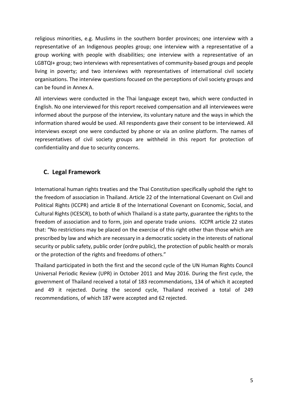religious minorities, e.g. Muslims in the southern border provinces; one interview with a representative of an Indigenous peoples group; one interview with a representative of a group working with people with disabilities; one interview with a representative of an LGBTQI+ group; two interviews with representatives of community-based groups and people living in poverty; and two interviews with representatives of international civil society organisations. The interview questions focused on the perceptions of civil society groups and can be found in Annex A.

All interviews were conducted in the Thai language except two, which were conducted in English. No one interviewed for this report received compensation and all interviewees were informed about the purpose of the interview, its voluntary nature and the ways in which the information shared would be used. All respondents gave their consent to be interviewed. All interviews except one were conducted by phone or via an online platform. The names of representatives of civil society groups are withheld in this report for protection of confidentiality and due to security concerns.

# <span id="page-4-0"></span>**C. Legal Framework**

International human rights treaties and the Thai Constitution specifically uphold the right to the freedom of association in Thailand. Article 22 of the International Covenant on Civil and Political Rights (ICCPR) and article 8 of the International Covenant on Economic, Social, and Cultural Rights (ICESCR), to both of which Thailand is a state party, guarantee the rights to the freedom of association and to form, join and operate trade unions. ICCPR article 22 states that: "No restrictions may be placed on the exercise of this right other than those which are prescribed by law and which are necessary in a democratic society in the interests of national security or public safety, public order (ordre public), the protection of public health or morals or the protection of the rights and freedoms of others."

Thailand participated in both the first and the second cycle of the UN Human Rights Council Universal Periodic Review (UPR) in October 2011 and May 2016. During the first cycle, the government of Thailand received a total of 183 recommendations, 134 of which it accepted and 49 it rejected. During the second cycle, Thailand received a total of 249 recommendations, of which 187 were accepted and 62 rejected.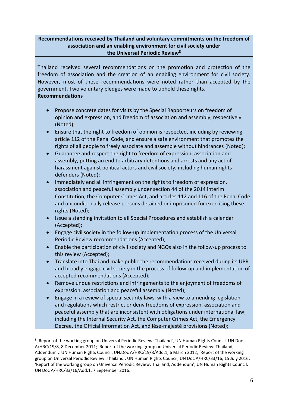#### **Recommendations received by Thailand and voluntary commitments on the freedom of association and an enabling environment for civil society under the Universal Periodic Review<sup>8</sup>**

Thailand received several recommendations on the promotion and protection of the freedom of association and the creation of an enabling environment for civil society. However, most of these recommendations were noted rather than accepted by the government. Two voluntary pledges were made to uphold these rights. **Recommendations**

# • Propose concrete dates for visits by the Special Rapporteurs on freedom of opinion and expression, and freedom of association and assembly, respectively (Noted);

- Ensure that the right to freedom of opinion is respected, including by reviewing article 112 of the Penal Code, and ensure a safe environment that promotes the rights of all people to freely associate and assemble without hindrances (Noted);
- Guarantee and respect the right to freedom of expression, association and assembly, putting an end to arbitrary detentions and arrests and any act of harassment against political actors and civil society, including human rights defenders (Noted);
- Immediately end all infringement on the rights to freedom of expression, association and peaceful assembly under section 44 of the 2014 interim Constitution, the Computer Crimes Act, and articles 112 and 116 of the Penal Code and unconditionally release persons detained or imprisoned for exercising these rights (Noted);
- Issue a standing invitation to all Special Procedures and establish a calendar (Accepted);
- Engage civil society in the follow-up implementation process of the Universal Periodic Review recommendations (Accepted);
- Enable the participation of civil society and NGOs also in the follow-up process to this review (Accepted);
- Translate into Thai and make public the recommendations received during its UPR and broadly engage civil society in the process of follow-up and implementation of accepted recommendations (Accepted);
- Remove undue restrictions and infringements to the enjoyment of freedoms of expression, association and peaceful assembly (Noted);
- Engage in a review of special security laws, with a view to amending legislation and regulations which restrict or deny freedoms of expression, association and peaceful assembly that are inconsistent with obligations under international law, including the Internal Security Act, the Computer Crimes Act, the Emergency Decree, the Official Information Act, and lèse-majesté provisions (Noted);

<sup>&</sup>lt;sup>8</sup> 'Report of the working group on Universal Periodic Review: Thailand', UN Human Rights Council, UN Doc A/HRC/19/8, 8 December 2011; 'Report of the working group on Universal Periodic Review: Thailand, Addendum', UN Human Rights Council, UN.Doc A/HRC/19/8/Add.1, 6 March 2012; 'Report of the working group on Universal Periodic Review: Thailand', UN Human Rights Council, UN Doc A/HRC/33/16, 15 July 2016; 'Report of the working group on Universal Periodic Review: Thailand, Addendum', UN Human Rights Council, UN Doc A/HRC/33/16/Add.1, 7 September 2016.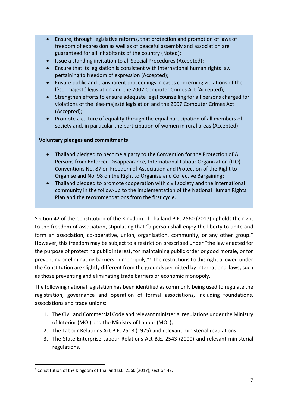- Ensure, through legislative reforms, that protection and promotion of laws of freedom of expression as well as of peaceful assembly and association are guaranteed for all inhabitants of the country (Noted);
- Issue a standing invitation to all Special Procedures (Accepted);
- Ensure that its legislation is consistent with international human rights law pertaining to freedom of expression (Accepted);
- Ensure public and transparent proceedings in cases concerning violations of the lèse- majesté legislation and the 2007 Computer Crimes Act (Accepted);
- Strengthen efforts to ensure adequate legal counselling for all persons charged for violations of the lèse-majesté legislation and the 2007 Computer Crimes Act (Accepted);
- Promote a culture of equality through the equal participation of all members of society and, in particular the participation of women in rural areas (Accepted);

#### **Voluntary pledges and commitments**

- Thailand pledged to become a party to the Convention for the Protection of All Persons from Enforced Disappearance, International Labour Organization (ILO) Conventions No. 87 on Freedom of Association and Protection of the Right to Organise and No. 98 on the Right to Organise and Collective Bargaining;
- Thailand pledged to promote cooperation with civil society and the international community in the follow-up to the implementation of the National Human Rights Plan and the recommendations from the first cycle.

Section 42 of the Constitution of the Kingdom of Thailand B.E. 2560 (2017) upholds the right to the freedom of association, stipulating that "a person shall enjoy the liberty to unite and form an association, co-operative, union, organisation, community, or any other group." However, this freedom may be subject to a restriction prescribed under "the law enacted for the purpose of protecting public interest, for maintaining public order or good morale, or for preventing or eliminating barriers or monopoly."<sup>9</sup> The restrictions to this right allowed under the Constitution are slightly different from the grounds permitted by international laws, such as those preventing and eliminating trade barriers or economic monopoly.

The following national legislation has been identified as commonly being used to regulate the registration, governance and operation of formal associations, including foundations, associations and trade unions:

- 1. The Civil and Commercial Code and relevant ministerial regulations under the Ministry of Interior (MOI) and the Ministry of Labour (MOL);
- 2. The Labour Relations Act B.E. 2518 (1975) and relevant ministerial regulations;
- 3. The State Enterprise Labour Relations Act B.E. 2543 (2000) and relevant ministerial regulations.

<sup>&</sup>lt;sup>9</sup> Constitution of the Kingdom of Thailand B.E. 2560 (2017), section 42.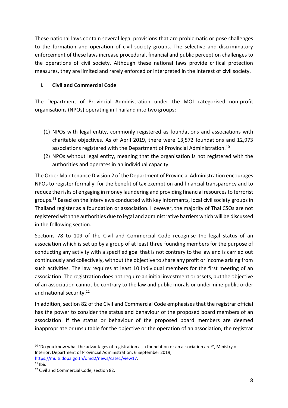These national laws contain several legal provisions that are problematic or pose challenges to the formation and operation of civil society groups. The selective and discriminatory enforcement of these laws increase procedural, financial and public perception challenges to the operations of civil society. Although these national laws provide critical protection measures, they are limited and rarely enforced or interpreted in the interest of civil society.

#### <span id="page-7-0"></span>**I. Civil and Commercial Code**

The Department of Provincial Administration under the MOI categorised non-profit organisations (NPOs) operating in Thailand into two groups:

- (1) NPOs with legal entity, commonly registered as foundations and associations with charitable objectives. As of April 2019, there were 13,572 foundations and 12,973 associations registered with the Department of Provincial Administration.<sup>10</sup>
- (2) NPOs without legal entity, meaning that the organisation is not registered with the authorities and operates in an individual capacity.

The Order Maintenance Division 2 of the Department of Provincial Administration encourages NPOs to register formally, for the benefit of tax exemption and financial transparency and to reduce the risks of engaging in money laundering and providing financial resources to terrorist groups.<sup>11</sup> Based on the interviews conducted with key informants, local civil society groups in Thailand register as a foundation or association. However, the majority of Thai CSOs are not registered with the authorities due to legal and administrative barriers which will be discussed in the following section.

Sections 78 to 109 of the Civil and Commercial Code recognise the legal status of an association which is set up by a group of at least three founding members for the purpose of conducting any activity with a specified goal that is not contrary to the law and is carried out continuously and collectively, without the objective to share any profit or income arising from such activities. The law requires at least 10 individual members for the first meeting of an association. The registration does not require an initial investment or assets, but the objective of an association cannot be contrary to the law and public morals or undermine public order and national security.<sup>12</sup>

In addition, section 82 of the Civil and Commercial Code emphasises that the registrar official has the power to consider the status and behaviour of the proposed board members of an association. If the status or behaviour of the proposed board members are deemed inappropriate or unsuitable for the objective or the operation of an association, the registrar

 $10$  'Do you know what the advantages of registration as a foundation or an association are?', Ministry of Interior, Department of Provincial Administration, 6 September 2019, [https://multi.dopa.go.th/omd2/news/cate1/view17.](https://multi.dopa.go.th/omd2/news/cate1/view17)

 $11$  Ibid.

<sup>&</sup>lt;sup>12</sup> Civil and Commercial Code, section 82.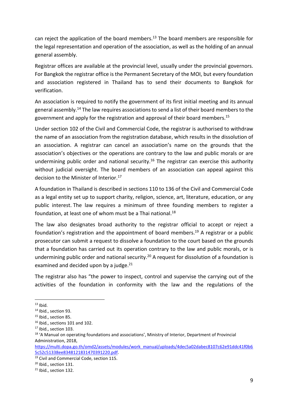can reject the application of the board members.<sup>13</sup> The board members are responsible for the legal representation and operation of the association, as well as the holding of an annual general assembly.

Registrar offices are available at the provincial level, usually under the provincial governors. For Bangkok the registrar office is the Permanent Secretary of the MOI, but every foundation and association registered in Thailand has to send their documents to Bangkok for verification.

An association is required to notify the government of its first initial meeting and its annual general assembly.<sup>14</sup> The law requires associations to send a list of their board members to the government and apply for the registration and approval of their board members.<sup>15</sup>

Under section 102 of the Civil and Commercial Code, the registrar is authorised to withdraw the name of an association from the registration database, which results in the dissolution of an association. A registrar can cancel an association's name on the grounds that the association's objectives or the operations are contrary to the law and public morals or are undermining public order and national security.<sup>16</sup> The registrar can exercise this authority without judicial oversight. The board members of an association can appeal against this decision to the Minister of Interior.<sup>17</sup>

A foundation in Thailand is described in sections 110 to 136 of the Civil and Commercial Code as a legal entity set up to support charity, religion, science, art, literature, education, or any public interest. The law requires a minimum of three founding members to register a foundation, at least one of whom must be a Thai national.<sup>18</sup>

The law also designates broad authority to the registrar official to accept or reject a foundation's registration and the appointment of board members.<sup>19</sup> A registrar or a public prosecutor can submit a request to dissolve a foundation to the court based on the grounds that a foundation has carried out its operation contrary to the law and public morals, or is undermining public order and national security.<sup>20</sup> A request for dissolution of a foundation is examined and decided upon by a judge.<sup>21</sup>

The registrar also has "the power to inspect, control and supervise the carrying out of the activities of the foundation in conformity with the law and the regulations of the

 $13$  Ibid.

<sup>14</sup> Ibid., section 93.

<sup>&</sup>lt;sup>15</sup> Ibid., section 85.

 $16$  Ibid., sections 101 and 102.

<sup>&</sup>lt;sup>17</sup> Ibid., section 103.

<sup>&</sup>lt;sup>18</sup> 'A Manual on operating foundations and associations', Ministry of Interior, Department of Provincial Administration, 2018,

[https://multi.dopa.go.th/omd2/assets/modules/work\\_manual/uploads/4dec5a02dabec8107c62e91ddc41f0b6](https://multi.dopa.go.th/omd2/assets/modules/work_manual/uploads/4dec5a02dabec8107c62e91ddc41f0b65c52c51338ee8348121831470391220.pdf) [5c52c51338ee8348121831470391220.pdf.](https://multi.dopa.go.th/omd2/assets/modules/work_manual/uploads/4dec5a02dabec8107c62e91ddc41f0b65c52c51338ee8348121831470391220.pdf)

<sup>19</sup> Civil and Commercial Code, section 115.

<sup>&</sup>lt;sup>20</sup> Ibid., section 131.

<sup>&</sup>lt;sup>21</sup> Ibid., section 132.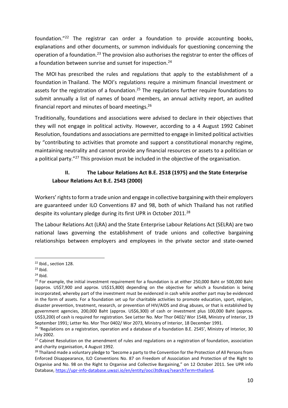foundation."<sup>22</sup> The registrar can order a foundation to provide accounting books, explanations and other documents, or summon individuals for questioning concerning the operation of a foundation.<sup>23</sup> The provision also authorises the registrar to enter the offices of a foundation between sunrise and sunset for inspection.<sup>24</sup>

The MOI has prescribed the rules and regulations that apply to the establishment of a foundation in Thailand. The MOI's regulations require a minimum financial investment or assets for the registration of a foundation.<sup>25</sup> The regulations further require foundations to submit annually a list of names of board members, an annual activity report, an audited financial report and minutes of board meetings. 26

Traditionally, foundations and associations were advised to declare in their objectives that they will not engage in political activity. However, according to a 4 August 1992 Cabinet Resolution, foundations and associations are permitted to engage in limited political activities by "contributing to activities that promote and support a constitutional monarchy regime, maintaining neutrality and cannot provide any financial resources or assets to a politician or a political party."<sup>27</sup> This provision must be included in the objective of the organisation.

# <span id="page-9-0"></span>**II. The Labour Relations Act B.E. 2518 (1975) and the State Enterprise Labour Relations Act B.E. 2543 (2000)**

Workers' rights to form a trade union and engage in collective bargaining with their employers are guaranteed under ILO Conventions 87 and 98, both of which Thailand has not ratified despite its voluntary pledge during its first UPR in October 2011.<sup>28</sup>

The Labour Relations Act (LRA) and the State Enterprise Labour Relations Act (SELRA) are two national laws governing the establishment of trade unions and collective bargaining relationships between employers and employees in the private sector and state-owned

<sup>22</sup> Ibid., section 128.

 $23$  Ibid.

 $24$  Ibid.

 $25$  For example, the initial investment requirement for a foundation is at either 250,000 Baht or 500,000 Baht (approx. US\$7,900 and approx. US\$15,800) depending on the objective for which a foundation is being incorporated, whereby part of the investment must be evidenced in cash while another part may be evidenced in the form of assets. For a foundation set up for charitable activities to promote education, sport, religion, disaster prevention, treatment, research, or prevention of HIV/AIDS and drug abuses, or that is established by government agencies, 200,000 Baht (approx. US\$6,300) of cash or investment plus 100,000 Baht (approx. US\$3,200) of cash is required for registration. See Letter No. Mor Thor 0402/ Wor 1548, Ministry of Interior, 19 September 1991; Letter No. Mor Thor 0402/ Wor 2073, Ministry of Interior, 18 December 1991.

<sup>&</sup>lt;sup>26</sup> 'Regulations on a registration, operation and a database of a foundation B.E. 2545', Ministry of Interior, 30 July 2002.

 $27$  Cabinet Resolution on the amendment of rules and regulations on a registration of foundation, association and charity organisation, 4 August 1992.

<sup>&</sup>lt;sup>28</sup> Thailand made a voluntary pledge to "become a party to the Convention for the Protection of All Persons from Enforced Disappearance, ILO Conventions No. 87 on Freedom of Association and Protection of the Right to Organise and No. 98 on the Right to Organise and Collective Bargaining," on 12 October 2011. See UPR info Database,<https://upr-info-database.uwazi.io/en/entity/ooci3tdksyq?searchTerm=thailand>.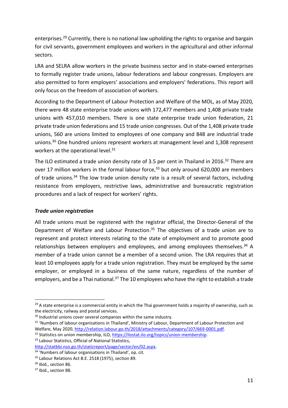enterprises.<sup>29</sup> Currently, there is no national law upholding the rights to organise and bargain for civil servants, government employees and workers in the agricultural and other informal sectors.

LRA and SELRA allow workers in the private business sector and in state-owned enterprises to formally register trade unions, labour federations and labour congresses. Employers are also permitted to form employers' associations and employers' federations. This report will only focus on the freedom of association of workers.

According to the Department of Labour Protection and Welfare of the MOL, as of May 2020, there were 48 state enterprise trade unions with 172,477 members and 1,408 private trade unions with 457,010 members. There is one state enterprise trade union federation, 21 private trade union federations and 15 trade union congresses. Out of the 1,408 private trade unions, 560 are unions limited to employees of one company and 848 are industrial trade unions.<sup>30</sup> One hundred unions represent workers at management level and 1,308 represent workers at the operational level.<sup>31</sup>

The ILO estimated a trade union density rate of 3.5 per cent in Thailand in 2016.<sup>32</sup> There are over 17 million workers in the formal labour force,<sup>33</sup> but only around 620,000 are members of trade unions.<sup>34</sup> The low trade union density rate is a result of several factors, including resistance from employers, restrictive laws, administrative and bureaucratic registration procedures and a lack of respect for workers' rights.

#### *Trade union registration*

All trade unions must be registered with the registrar official, the Director-General of the Department of Welfare and Labour Protection.<sup>35</sup> The objectives of a trade union are to represent and protect interests relating to the state of employment and to promote good relationships between employers and employees, and among employees themselves.<sup>36</sup> A member of a trade union cannot be a member of a second union. The LRA requires that at least 10 employees apply for a trade union registration. They must be employed by the same employer, or employed in a business of the same nature, regardless of the number of employers, and be a Thai national.<sup>37</sup> The 10 employees who have the right to establish a trade

<sup>&</sup>lt;sup>29</sup> A state enterprise is a commercial entity in which the Thai government holds a majority of ownership, such as the electricity, railway and postal services.

<sup>&</sup>lt;sup>30</sup> Industrial unions cover several companies within the same industry.

<sup>&</sup>lt;sup>31</sup> 'Numbers of labour organisations in Thailand', Ministry of Labour, Department of Labour Protection and Welfare, May 2020, [http://relation.labour.go.th/2018/attachments/category/107/669-0001.pdf.](http://relation.labour.go.th/2018/attachments/category/107/669-0001.pdf)

<sup>32</sup> Statistics on union membership, ILO, [https://ilostat.ilo.org/topics/union-membership.](https://ilostat.ilo.org/topics/union-membership/) 33 Labour Statistics, Official of National Statistics,

[http://statbbi.nso.go.th/staticreport/page/sector/en/02.aspx.](http://statbbi.nso.go.th/staticreport/page/sector/en/02.aspx)

<sup>&</sup>lt;sup>34</sup> 'Numbers of labour organisations in Thailand', op. cit.

<sup>&</sup>lt;sup>35</sup> Labour Relations Act B.E. 2518 (1975), section 89.

<sup>&</sup>lt;sup>36</sup> Ibid., section 86.

<sup>&</sup>lt;sup>37</sup> Ibid., section 88.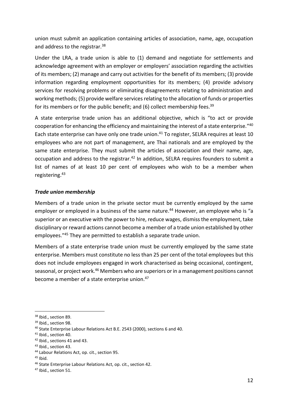union must submit an application containing articles of association, name, age, occupation and address to the registrar.<sup>38</sup>

Under the LRA, a trade union is able to (1) demand and negotiate for settlements and acknowledge agreement with an employer or employers' association regarding the activities of its members; (2) manage and carry out activities for the benefit of its members; (3) provide information regarding employment opportunities for its members; (4) provide advisory services for resolving problems or eliminating disagreements relating to administration and working methods; (5) provide welfare services relating to the allocation of funds or properties for its members or for the public benefit; and (6) collect membership fees.<sup>39</sup>

A state enterprise trade union has an additional objective, which is "to act or provide cooperation for enhancing the efficiency and maintaining the interest of a state enterprise." $^{40}$ Each state enterprise can have only one trade union. <sup>41</sup> To register, SELRA requires at least 10 employees who are not part of management, are Thai nationals and are employed by the same state enterprise. They must submit the articles of association and their name, age, occupation and address to the registrar.<sup>42</sup> In addition, SELRA requires founders to submit a list of names of at least 10 per cent of employees who wish to be a member when registering. 43

#### *Trade union membership*

Members of a trade union in the private sector must be currently employed by the same employer or employed in a business of the same nature. <sup>44</sup> However, an employee who is "a superior or an executive with the power to hire, reduce wages, dismiss the employment, take disciplinary or reward actions cannot become a member of a trade union established by other employees." <sup>45</sup> They are permitted to establish a separate trade union.

Members of a state enterprise trade union must be currently employed by the same state enterprise. Members must constitute no less than 25 per cent of the total employees but this does not include employees engaged in work characterised as being occasional, contingent, seasonal, or project work.<sup>46</sup> Members who are superiors or in a management positions cannot become a member of a state enterprise union.<sup>47</sup>

<sup>&</sup>lt;sup>38</sup> Ibid., section 89.

<sup>&</sup>lt;sup>39</sup> Ibid., section 98.

<sup>40</sup> State Enterprise Labour Relations Act B.E. 2543 (2000), sections 6 and 40.

<sup>41</sup> Ibid., section 40.

<sup>42</sup> Ibid., sections 41 and 43.

<sup>43</sup> Ibid., section 43.

<sup>44</sup> Labour Relations Act, op. cit., section 95.

<sup>45</sup> Ibid.

<sup>46</sup> State Enterprise Labour Relations Act, op. cit., section 42.

<sup>&</sup>lt;sup>47</sup> Ibid., section 51.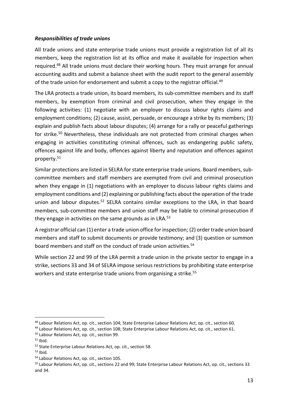#### *Responsibilities of trade unions*

All trade unions and state enterprise trade unions must provide a registration list of all its members, keep the registration list at its office and make it available for inspection when required. <sup>48</sup> All trade unions must declare their working hours. They must arrange for annual accounting audits and submit a balance sheet with the audit report to the general assembly of the trade union for endorsement and submit a copy to the registrar official. 49

The LRA protects a trade union, its board members, its sub-committee members and its staff members, by exemption from criminal and civil prosecution, when they engage in the following activities: (1) negotiate with an employer to discuss labour rights claims and employment conditions; (2) cause, assist, persuade, or encourage a strike by its members; (3) explain and publish facts about labour disputes; (4) arrange for a rally or peaceful gatherings for strike.<sup>50</sup> Nevertheless, these individuals are not protected from criminal charges when engaging in activities constituting criminal offences, such as endangering public safety, offences against life and body, offences against liberty and reputation and offences against property.<sup>51</sup>

Similar protections are listed in SELRA for state enterprise trade unions. Board members, subcommittee members and staff members are exempted from civil and criminal prosecution when they engage in (1) negotiations with an employer to discuss labour rights claims and employment conditions and (2) explaining or publishing facts about the operation of the trade union and labour disputes.<sup>52</sup> SELRA contains similar exceptions to the LRA, in that board members, sub-committee members and union staff may be liable to criminal prosecution if they engage in activities on the same grounds as in LRA.<sup>53</sup>

A registrar official can (1) enter a trade union office for inspection; (2) order trade union board members and staff to submit documents or provide testimony; and (3) question or summon board members and staff on the conduct of trade union activities.<sup>54</sup>

While section 22 and 99 of the LRA permit a trade union in the private sector to engage in a strike, sections 33 and 34 of SELRA impose serious restrictions by prohibiting state enterprise workers and state enterprise trade unions from organising a strike.<sup>55</sup>

<sup>48</sup> Labour Relations Act, op. cit., section 104; State Enterprise Labour Relations Act, op. cit., section 60.

<sup>49</sup> Labour Relations Act, op. cit., section 108; State Enterprise Labour Relations Act, op. cit., section 61.

<sup>50</sup> Labour Relations Act, op. cit., section 99.

 $51$  Ibid.

<sup>52</sup> State Enterprise Labour Relations Act, op. cit., section 58.

 $53$  Ibid.

<sup>54</sup> Labour Relations Act, op. cit., section 105.

<sup>55</sup> Labour Relations Act, op. cit., sections 22 and 99; State Enterprise Labour Relations Act, op. cit., sections 33 and 34.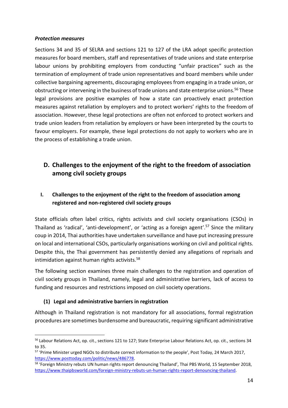#### *Protection measures*

Sections 34 and 35 of SELRA and sections 121 to 127 of the LRA adopt specific protection measures for board members, staff and representatives of trade unions and state enterprise labour unions by prohibiting employers from conducting "unfair practices" such as the termination of employment of trade union representatives and board members while under collective bargaining agreements, discouraging employees from engaging in a trade union, or obstructing or intervening in the business of trade unions and state enterprise unions. <sup>56</sup> These legal provisions are positive examples of how a state can proactively enact protection measures against retaliation by employers and to protect workers' rights to the freedom of association. However, these legal protections are often not enforced to protect workers and trade union leaders from retaliation by employers or have been interpreted by the courts to favour employers. For example, these legal protections do not apply to workers who are in the process of establishing a trade union.

# <span id="page-13-0"></span>**D. Challenges to the enjoyment of the right to the freedom of association among civil society groups**

# <span id="page-13-1"></span>**I. Challenges to the enjoyment of the right to the freedom of association among registered and non-registered civil society groups**

State officials often label critics, rights activists and civil society organisations (CSOs) in Thailand as 'radical', 'anti-development', or 'acting as a foreign agent'. <sup>57</sup> Since the military coup in 2014, Thai authorities have undertaken surveillance and have put increasing pressure on local and international CSOs, particularly organisations working on civil and political rights. Despite this, the Thai government has persistently denied any allegations of reprisals and intimidation against human rights activists.<sup>58</sup>

The following section examines three main challenges to the registration and operation of civil society groups in Thailand, namely, legal and administrative barriers, lack of access to funding and resources and restrictions imposed on civil society operations.

# **(1) Legal and administrative barriers in registration**

Although in Thailand registration is not mandatory for all associations, formal registration procedures are sometimes burdensome and bureaucratic, requiring significant administrative

<sup>56</sup> Labour Relations Act, op. cit., sections 121 to 127; State Enterprise Labour Relations Act, op. cit., sections 34 to 35.

<sup>57</sup> 'Prime Minister urged NGOs to distribute correct information to the people', Post Today, 24 March 2017, [https://www.posttoday.com/politic/news/486778.](https://www.posttoday.com/politic/news/486778)

<sup>&</sup>lt;sup>58</sup> 'Foreign Ministry rebuts UN human rights report denouncing Thailand', Thai PBS World, 15 September 2018, [https://www.thaipbsworld.com/foreign-ministry-rebuts-un-human-rights-report-denouncing-thailand.](https://www.thaipbsworld.com/foreign-ministry-rebuts-un-human-rights-report-denouncing-thailand/)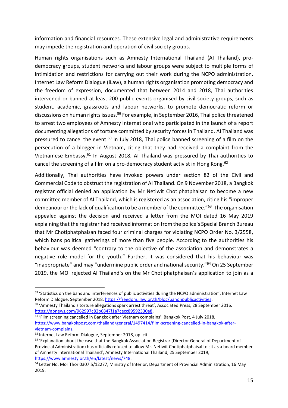information and financial resources. These extensive legal and administrative requirements may impede the registration and operation of civil society groups.

Human rights organisations such as Amnesty International Thailand (AI Thailand), prodemocracy groups, student networks and labour groups were subject to multiple forms of intimidation and restrictions for carrying out their work during the NCPO administration. Internet Law Reform Dialogue (iLaw), a human rights organisation promoting democracy and the freedom of expression, documented that between 2014 and 2018, Thai authorities intervened or banned at least 200 public events organised by civil society groups, such as student, academic, grassroots and labour networks, to promote democratic reform or discussions on human rights issues.<sup>59</sup> For example, in September 2016, Thai police threatened to arrest two employees of Amnesty International who participated in the launch of a report documenting allegations of torture committed by security forces in Thailand. AI Thailand was pressured to cancel the event.<sup>60</sup> In July 2018, Thai police banned screening of a film on the persecution of a blogger in Vietnam, citing that they had received a complaint from the Vietnamese Embassy.<sup>61</sup> In August 2018, AI Thailand was pressured by Thai authorities to cancel the screening of a film on a pro-democracy student activist in Hong Kong.<sup>62</sup>

Additionally, Thai authorities have invoked powers under section 82 of the Civil and Commercial Code to obstruct the registration of AI Thailand. On 9 November 2018, a Bangkok registrar official denied an application by Mr Netiwit Chotiphatphaisan to become a new committee member of AI Thailand, which is registered as an association, citing his "improper demeanour or the lack of qualification to be a member of the committee."<sup>63</sup> The organisation appealed against the decision and received a letter from the MOI dated 16 May 2019 explaining that the registrar had received information from the police's Special Branch Bureau that Mr Chotiphatphaisan faced four criminal charges for violating NCPO Order No. 3/2558, which bans political gatherings of more than five people. According to the authorities his behaviour was deemed "contrary to the objective of the association and demonstrates a negative role model for the youth." Further, it was considered that his behaviour was "inappropriate" and may "undermine public order and national security."<sup>64</sup> On 25 September 2019, the MOI rejected AI Thailand's on the Mr Chotiphatphaisan's application to join as a

<sup>&</sup>lt;sup>59</sup> 'Statistics on the bans and interferences of public activities during the NCPO administration', Internet Law Reform Dialogue, September 2018, [https://freedom.ilaw.or.th/blog/banonpublicactivities.](https://freedom.ilaw.or.th/blog/banonpublicactivities)

 $60$  'Amnesty Thailand's torture allegations spark arrest threat', Associated Press, 28 September 2016. [https://apnews.com/962997c82b6847f1a7cecc89592330a8.](https://apnews.com/962997c82b6847f1a7cecc89592330a8)

<sup>61</sup> 'Film screening cancelled in Bangkok after Vietnam complains', Bangkok Post, 4 July 2018, [https://www.bangkokpost.com/thailand/general/1497414/film-screening-cancelled-in-bangkok-after](https://www.bangkokpost.com/thailand/general/1497414/film-screening-cancelled-in-bangkok-after-vietnam-complains)[vietnam-complains.](https://www.bangkokpost.com/thailand/general/1497414/film-screening-cancelled-in-bangkok-after-vietnam-complains)

<sup>62</sup> Internet Law Reform Dialogue, September 2018, op. cit.

<sup>&</sup>lt;sup>63</sup> 'Explanation about the case that the Bangkok Association Registrar (Director General of Department of Provincial Administration) has officially refused to allow Mr. Netiwit Chotiphatphaisal to sit as a board member of Amnesty International Thailand', Amnesty International Thailand, 25 September 2019, [https://www.amnesty.or.th/en/latest/news/748.](https://www.amnesty.or.th/en/latest/news/748)

<sup>&</sup>lt;sup>64</sup> Letter No. Mor Thor 0307.5/12277, Ministry of Interior, Department of Provincial Administration, 16 May 2019.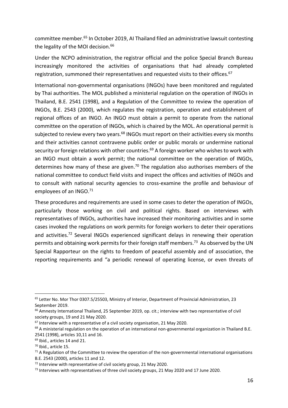committee member.<sup>65</sup> In October 2019, AI Thailand filed an administrative lawsuit contesting the legality of the MOI decision.<sup>66</sup>

Under the NCPO administration, the registrar official and the police Special Branch Bureau increasingly monitored the activities of organisations that had already completed registration, summoned their representatives and requested visits to their offices. 67

International non-governmental organisations (INGOs) have been monitored and regulated by Thai authorities. The MOL published a ministerial regulation on the operation of INGOs in Thailand, B.E. 2541 (1998), and a Regulation of the Committee to review the operation of INGOs, B.E. 2543 (2000), which regulates the registration, operation and establishment of regional offices of an INGO. An INGO must obtain a permit to operate from the national committee on the operation of INGOs, which is chaired by the MOL. An operational permit is subjected to review every two years.<sup>68</sup> INGOs must report on their activities every six months and their activities cannot contravene public order or public morals or undermine national security or foreign relations with other countries.<sup>69</sup> A foreign worker who wishes to work with an INGO must obtain a work permit; the national committee on the operation of INGOs, determines how many of these are given.<sup>70</sup> The regulation also authorises members of the national committee to conduct field visits and inspect the offices and activities of INGOs and to consult with national security agencies to cross-examine the profile and behaviour of employees of an INGO.<sup>71</sup>

These procedures and requirements are used in some cases to deter the operation of INGOs, particularly those working on civil and political rights. Based on interviews with representatives of INGOs, authorities have increased their monitoring activities and in some cases invoked the regulations on work permits for foreign workers to deter their operations and activities.<sup>72</sup> Several INGOs experienced significant delays in renewing their operation permits and obtaining work permits for their foreign staff members. <sup>73</sup> As observed by the UN Special Rapporteur on the rights to freedom of peaceful assembly and of association, the reporting requirements and "a periodic renewal of operating license, or even threats of

<sup>&</sup>lt;sup>65</sup> Letter No. Mor Thor 0307.5/25503, Ministry of Interior, Department of Provincial Administration, 23 September 2019.

<sup>66</sup> Amnesty International Thailand, 25 September 2019, op. cit.; interview with two representative of civil society groups, 19 and 21 May 2020.

 $67$  Interview with a representative of a civil society organisation, 21 May 2020.

 $68$  A ministerial regulation on the operation of an international non-governmental organization in Thailand B.E. 2541 (1998), articles 10,11 and 16.

<sup>69</sup> Ibid., articles 14 and 21.

<sup>70</sup> Ibid., article 15.

 $71$  A Regulation of the Committee to review the operation of the non-governmental international organisations B.E. 2543 (2000), articles 11 and 12.

 $<sup>72</sup>$  Interview with representative of civil society group, 21 May 2020.</sup>

<sup>&</sup>lt;sup>73</sup> Interviews with representatives of three civil society groups, 21 May 2020 and 17 June 2020.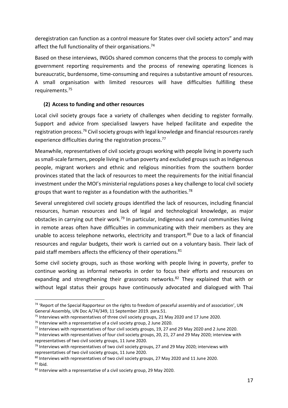deregistration can function as a control measure for States over civil society actors" and may affect the full functionality of their organisations.<sup>74</sup>

Based on these interviews, INGOs shared common concerns that the process to comply with government reporting requirements and the process of renewing operating licences is bureaucratic, burdensome, time-consuming and requires a substantive amount of resources. A small organisation with limited resources will have difficulties fulfilling these requirements.<sup>75</sup>

# **(2) Access to funding and other resources**

Local civil society groups face a variety of challenges when deciding to register formally. Support and advice from specialised lawyers have helped facilitate and expedite the registration process.<sup>76</sup> Civil society groups with legal knowledge and financial resources rarely experience difficulties during the registration process.<sup>77</sup>

Meanwhile, representatives of civil society groups working with people living in poverty such as small-scale farmers, people living in urban poverty and excluded groups such as Indigenous people, migrant workers and ethnic and religious minorities from the southern border provinces stated that the lack of resources to meet the requirements for the initial financial investment under the MOI's ministerial regulations poses a key challenge to local civil society groups that want to register as a foundation with the authorities.<sup>78</sup>

Several unregistered civil society groups identified the lack of resources, including financial resources, human resources and lack of legal and technological knowledge, as major obstacles in carrying out their work.<sup>79</sup> In particular, Indigenous and rural communities living in remote areas often have difficulties in communicating with their members as they are unable to access telephone networks, electricity and transport. <sup>80</sup> Due to a lack of financial resources and regular budgets, their work is carried out on a voluntary basis. Their lack of paid staff members affects the efficiency of their operations.<sup>81</sup>

Some civil society groups, such as those working with people living in poverty, prefer to continue working as informal networks in order to focus their efforts and resources on expanding and strengthening their grassroots networks.<sup>82</sup> They explained that with or without legal status their groups have continuously advocated and dialogued with Thai

 $74$  'Report of the Special Rapporteur on the rights to freedom of peaceful assembly and of association', UN General Assembly, UN Doc A/74/349, 11 September 2019. para.51.

<sup>&</sup>lt;sup>75</sup> Interviews with representatives of three civil society groups, 21 May 2020 and 17 June 2020.

 $76$  Interview with a representative of a civil society group, 2 June 2020.

<sup>77</sup> Interviews with representatives of four civil society groups, 19, 27 and 29 May 2020 and 2 June 2020.

 $78$  Interviews with representatives of four civil society groups, 20, 21, 27 and 29 May 2020; interview with representatives of two civil society groups, 11 June 2020.

 $79$  Interviews with representatives of two civil society groups, 27 and 29 May 2020; interviews with representatives of two civil society groups, 11 June 2020.

<sup>80</sup> Interviews with representatives of two civil society groups, 27 May 2020 and 11 June 2020.  $81$  Ibid.

<sup>&</sup>lt;sup>82</sup> Interview with a representative of a civil society group, 29 May 2020.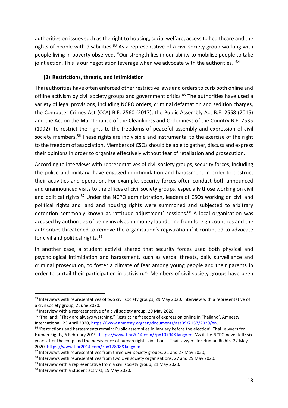authorities on issues such as the right to housing, social welfare, access to healthcare and the rights of people with disabilities. $83$  As a representative of a civil society group working with people living in poverty observed, "Our strength lies in our ability to mobilise people to take joint action. This is our negotiation leverage when we advocate with the authorities." 84

# **(3) Restrictions, threats, and intimidation**

Thai authorities have often enforced other restrictive laws and orders to curb both online and offline activism by civil society groups and government critics.<sup>85</sup> The authorities have used a variety of legal provisions, including NCPO orders, criminal defamation and sedition charges, the Computer Crimes Act (CCA) B.E. 2560 (2017), the Public Assembly Act B.E. 2558 (2015) and the Act on the Maintenance of the Cleanliness and Orderliness of the Country B.E. 2535 (1992), to restrict the rights to the freedoms of peaceful assembly and expression of civil society members.<sup>86</sup> These rights are indivisible and instrumental to the exercise of the right to the freedom of association. Members of CSOs should be able to gather, discuss and express their opinions in order to organise effectively without fear of retaliation and prosecution.

According to interviews with representatives of civil society groups, security forces, including the police and military, have engaged in intimidation and harassment in order to obstruct their activities and operation. For example, security forces often conduct both announced and unannounced visits to the offices of civil society groups, especially those working on civil and political rights.<sup>87</sup> Under the NCPO administration, leaders of CSOs working on civil and political rights and land and housing rights were summoned and subjected to arbitrary detention commonly known as 'attitude adjustment' sessions. <sup>88</sup> A local organisation was accused by authorities of being involved in money laundering from foreign countries and the authorities threatened to remove the organisation's registration if it continued to advocate for civil and political rights. 89

In another case, a student activist shared that security forces used both physical and psychological intimidation and harassment, such as verbal threats, daily surveillance and criminal prosecution, to foster a climate of fear among young people and their parents in order to curtail their participation in activism.<sup>90</sup> Members of civil society groups have been

<sup>&</sup>lt;sup>83</sup> Interviews with representatives of two civil society groups, 29 May 2020; interview with a representative of a civil society group, 2 June 2020.

<sup>&</sup>lt;sup>84</sup> Interview with a representative of a civil society group, 29 May 2020.

<sup>85 &#</sup>x27;Thailand: "They are always watching." Restricting freedom of expression online in Thailand', Amnesty International, 23 April 2020[, https://www.amnesty.org/en/documents/asa39/2157/2020/en.](https://www.amnesty.org/en/documents/asa39/2157/2020/en/)

<sup>86 &#</sup>x27;Restrictions and harassments remain: Public assemblies in January before the election', Thai Lawyers for Human Rights, 6 February 2019[, https://www.tlhr2014.com/?p=10794&lang=en](https://www.tlhr2014.com/?p=10794&lang=en); 'As if the NCPO never left: six years after the coup and the persistence of human rights violations', Thai Lawyers for Human Rights, 22 May 2020, [https://www.tlhr2014.com/?p=17808&lang=en.](https://www.tlhr2014.com/?p=17808&lang=en)

<sup>87</sup> Interviews with representatives from three civil society groups, 21 and 27 May 2020,

<sup>88</sup> Interviews with representatives from two civil society organisations, 27 and 29 May 2020.

 $89$  Interview with a representative from a civil society group, 21 May 2020.

<sup>90</sup> Interview with a student activist, 19 May 2020.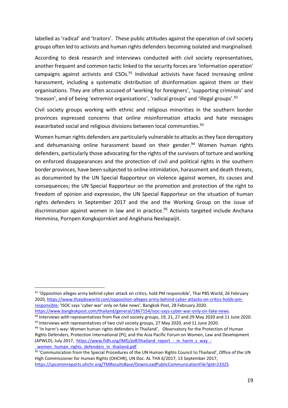labelled as 'radical' and 'traitors'. These public attitudes against the operation of civil society groups often led to activists and human rights defenders becoming isolated and marginalised.

According to desk research and interviews conducted with civil society representatives, another frequent and common tactic linked to the security forces are 'information operation' campaigns against activists and CSOs.<sup>91</sup> Individual activists have faced increasing online harassment, including a systematic distribution of disinformation against them or their organisations. They are often accused of 'working for foreigners', 'supporting criminals' and 'treason', and of being 'extremist organisations', 'radical groups' and 'illegal groups'.<sup>92</sup>

Civil society groups working with ethnic and religious minorities in the southern border provinces expressed concerns that online misinformation attacks and hate messages exacerbated social and religious divisions between local communities.<sup>93</sup>

Women human rights defenders are particularly vulnerable to attacks as they face derogatory and dehumanising online harassment based on their gender.<sup>94</sup> Women human rights defenders, particularly those advocating for the rights of the survivors of torture and working on enforced disappearances and the protection of civil and political rights in the southern border provinces, have been subjected to online intimidation, harassment and death threats, as documented by the UN Special Rapporteur on violence against women, its causes and consequences; the UN Special Rapporteur on the promotion and protection of the right to freedom of opinion and expression, the UN Special Rapporteur on the situation of human rights defenders in September 2017 and the and the Working Group on the issue of discrimination against women in law and in practice. <sup>95</sup> Activists targeted include Anchana Hemmina, Pornpen Kongkajornkiet and Angkhana Neelapaijit.

[https://www.bangkokpost.com/thailand/general/1867154/isoc-says-cyber-war-only-on-fake-news.](https://www.bangkokpost.com/thailand/general/1867154/isoc-says-cyber-war-only-on-fake-news) 92 Interviews with representatives from five civil society groups, 19, 21, 27 and 29 May 2020 and 11 June 2020.

<sup>93</sup> Interviews with representatives of two civil society groups, 27 May 2020, and 11 June 2020.

<sup>&</sup>lt;sup>91</sup> 'Opposition alleges army behind cyber attack on critics, hold PM responsible', Thai PBS World, 26 February 2020, [https://www.thaipbsworld.com/opposition-alleges-army-behind-cyber-attacks-on-critics-holds-pm](https://www.thaipbsworld.com/opposition-alleges-army-behind-cyber-attacks-on-critics-holds-pm-responsible/)[responsible](https://www.thaipbsworld.com/opposition-alleges-army-behind-cyber-attacks-on-critics-holds-pm-responsible/); 'ISOC says 'cyber war' only on fake news', Bangkok Post, 28 February 2020.

<sup>&</sup>lt;sup>94</sup> 'In harm's way: Women human rights defenders in Thailand', Observatory for the Protection of Human Rights Defenders, Protection International (PI), and the Asia Pacific Forum on Women, Law and Development (APWLD), July 2017, [https://www.fidh.org/IMG/pdf/thailand\\_report\\_-\\_in\\_harm\\_s\\_way\\_](https://www.fidh.org/IMG/pdf/thailand_report_-_in_harm_s_way_-_women_human_rights_defenders_in_thailand.pdf) women human rights defenders in thailand.pdf

<sup>95 &#</sup>x27;Communication from the Special Procedures of the UN Human Rights Council to Thailand', Office of the UN High Commissioner for Human Rights (OHCHR), UN Doc. AL THA 6/2017, 13 September 2017, <https://spcommreports.ohchr.org/TMResultsBase/DownLoadPublicCommunicationFile?gId=23325>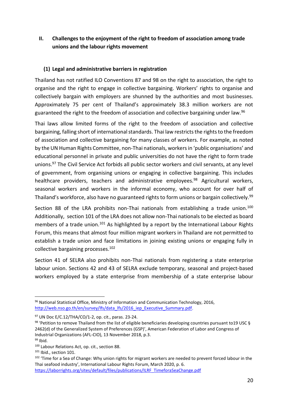<span id="page-19-0"></span>**II. Challenges to the enjoyment of the right to freedom of association among trade unions and the labour rights movement**

#### **(1) Legal and administrative barriers in registration**

Thailand has not ratified ILO Conventions 87 and 98 on the right to association, the right to organise and the right to engage in collective bargaining. Workers' rights to organise and collectively bargain with employers are shunned by the authorities and most businesses. Approximately 75 per cent of Thailand's approximately 38.3 million workers are not guaranteed the right to the freedom of association and collective bargaining under law.<sup>96</sup>

Thai laws allow limited forms of the right to the freedom of association and collective bargaining, falling short of international standards. Thai law restricts the rights to the freedom of association and collective bargaining for many classes of workers. For example, as noted by the UN Human Rights Committee, non-Thai nationals, workers in 'public organisations' and educational personnel in private and public universities do not have the right to form trade unions. <sup>97</sup> The Civil Service Act forbids all public sector workers and civil servants, at any level of government, from organising unions or engaging in collective bargaining. This includes healthcare providers, teachers and administrative employees.<sup>98</sup> Agricultural workers, seasonal workers and workers in the informal economy, who account for over half of Thailand's workforce, also have no guaranteed rights to form unions or bargain collectively.<sup>99</sup>

Section 88 of the LRA prohibits non-Thai nationals from establishing a trade union.<sup>100</sup> Additionally, section 101 of the LRA does not allow non-Thai nationals to be elected as board members of a trade union.<sup>101</sup> As highlighted by a report by the International Labour Rights Forum, this means that almost four million migrant workers in Thailand are not permitted to establish a trade union and face limitations in joining existing unions or engaging fully in collective bargaining processes. 102

Section 41 of SELRA also prohibits non-Thai nationals from registering a state enterprise labour union. Sections 42 and 43 of SELRA exclude temporary, seasonal and project-based workers employed by a state enterprise from membership of a state enterprise labour

<sup>&</sup>lt;sup>96</sup> National Statistical Office, Ministry of Information and Communication Technology, 2016, [http://web.nso.go.th/en/survey/lfs/data\\_lfs/2016\\_iep\\_Executive\\_Summary.pdf.](http://web.nso.go.th/en/survey/lfs/data_lfs/2016_iep_Executive_Summary.pdf)

<sup>97</sup> UN Doc E/C.12/THA/CO/1-2, op. cit., paras. 23-24.

<sup>&</sup>lt;sup>98</sup> 'Petition to remove Thailand from the list of eligible beneficiaries developing countries pursuant to19 USC § 2462(d) of the Generalized System of Preferences (GSP)', American Federation of Labor and Congress of Industrial Organizations (AFL-CIO), 13 November 2018, p.3.  $99$  Ibid.

<sup>100</sup> Labour Relations Act, op. cit., section 88.

<sup>101</sup> Ibid., section 101.

<sup>102 &#</sup>x27;Time for a Sea of Change: Why union rights for migrant workers are needed to prevent forced labour in the Thai seafood industry', International Labour Rights Forum, March 2020, p. 6.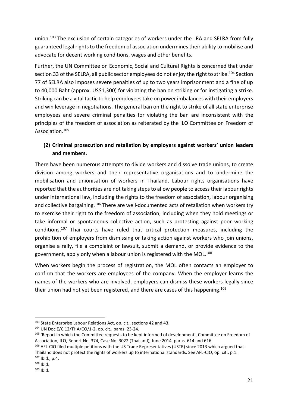union.<sup>103</sup> The exclusion of certain categories of workers under the LRA and SELRA from fully guaranteed legal rights to the freedom of association undermines their ability to mobilise and advocate for decent working conditions, wages and other benefits.

Further, the UN Committee on Economic, Social and Cultural Rights is concerned that under section 33 of the SELRA, all public sector employees do not enjoy the right to strike.<sup>104</sup> Section 77 of SELRA also imposes severe penalties of up to two years imprisonment and a fine of up to 40,000 Baht (approx. US\$1,300) for violating the ban on striking or for instigating a strike. Striking can be a vital tactic to help employees take on power imbalances with their employers and win leverage in negotiations. The general ban on the right to strike of all state enterprise employees and severe criminal penalties for violating the ban are inconsistent with the principles of the freedom of association as reiterated by the ILO Committee on Freedom of Association.<sup>105</sup>

# **(2) Criminal prosecution and retaliation by employers against workers' union leaders and members.**

There have been numerous attempts to divide workers and dissolve trade unions, to create division among workers and their representative organisations and to undermine the mobilisation and unionisation of workers in Thailand. Labour rights organisations have reported that the authorities are not taking steps to allow people to access their labour rights under international law, including the rights to the freedom of association, labour organising and collective bargaining.<sup>106</sup> There are well-documented acts of retaliation when workers try to exercise their right to the freedom of association, including when they hold meetings or take informal or spontaneous collective action, such as protesting against poor working conditions.<sup>107</sup> Thai courts have ruled that critical protection measures, including the prohibition of employers from dismissing or taking action against workers who join unions, organise a rally, file a complaint or lawsuit, submit a demand, or provide evidence to the government, apply only when a labour union is registered with the MOL. $^{108}$ 

When workers begin the process of registration, the MOL often contacts an employer to confirm that the workers are employees of the company. When the employer learns the names of the workers who are involved, employers can dismiss these workers legally since their union had not yet been registered, and there are cases of this happening.<sup>109</sup>

<sup>&</sup>lt;sup>103</sup> State Enterprise Labour Relations Act, op. cit., sections 42 and 43.

<sup>104</sup> UN Doc E/C.12/THA/CO/1-2, op. cit., paras. 23-24.

<sup>&</sup>lt;sup>105</sup> 'Report in which the Committee requests to be kept informed of development', Committee on Freedom of Association, ILO, Report No. 374, Case No. 3022 (Thailand), June 2014, paras. 614 and 616.

<sup>106</sup> AFL-CIO filed multiple petitions with the US Trade Representatives (USTR) since 2013 which argued that Thailand does not protect the rights of workers up to international standards. See AFL-CIO, op. cit., p.1. <sup>107</sup> Ibid., p.4.

 $108$  Ibid.

 $109$  Ibid.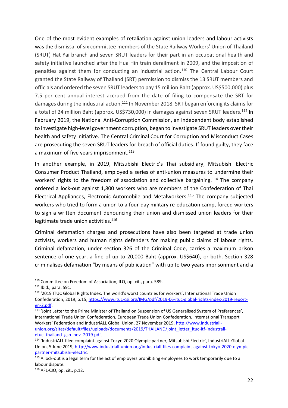One of the most evident examples of retaliation against union leaders and labour activists was the dismissal of six committee members of the State Railway Workers' Union of Thailand (SRUT) Hat Yai branch and seven SRUT leaders for their part in an occupational health and safety initiative launched after the Hua Hin train derailment in 2009, and the imposition of penalties against them for conducting an industrial action.<sup>110</sup> The Central Labour Court granted the State Railway of Thailand (SRT) permission to dismiss the 13 SRUT members and officials and ordered the seven SRUT leaders to pay 15 million Baht (approx. US\$500,000) plus 7.5 per cent annual interest accrued from the date of filing to compensate the SRT for damages during the industrial action.<sup>111</sup> In November 2018, SRT began enforcing its claims for a total of 24 million Baht (approx. US\$730,000) in damages against seven SRUT leaders.<sup>112</sup> In February 2019, the National Anti-Corruption Commission, an independent body established to investigate high-level government corruption, began to investigate SRUT leaders over their health and safety initiative. The Central Criminal Court for Corruption and Misconduct Cases are prosecuting the seven SRUT leaders for breach of official duties. If found guilty, they face a maximum of five years imprisonment.<sup>113</sup>

In another example, in 2019, Mitsubishi Electric's Thai subsidiary, Mitsubishi Electric Consumer Product Thailand, employed a series of anti-union measures to undermine their workers' rights to the freedom of association and collective bargaining.<sup>114</sup> The company ordered a lock-out against 1,800 workers who are members of the Confederation of Thai Electrical Appliances, Electronic Automobile and Metalworkers.<sup>115</sup> The company subjected workers who tried to form a union to a four-day military re-education camp, forced workers to sign a written document denouncing their union and dismissed union leaders for their legitimate trade union activities. 116

Criminal defamation charges and prosecutions have also been targeted at trade union activists, workers and human rights defenders for making public claims of labour rights. Criminal defamation, under section 326 of the Criminal Code, carries a maximum prison sentence of one year, a fine of up to 20,000 Baht (approx. US\$640), or both. Section 328 criminalises defamation "by means of publication" with up to two years imprisonment and a

<sup>110</sup> Committee on Freedom of Association, ILO, op. cit., para. 589.

<sup>111</sup> Ibid., para. 591.

<sup>112</sup> '2019 ITUC Global Rights Index: The world's worst countries for workers', International Trade Union Confederation, 2019, p.15, [https://www.ituc-csi.org/IMG/pdf/2019-06-ituc-global-rights-index-2019-report](https://www.ituc-csi.org/IMG/pdf/2019-06-ituc-global-rights-index-2019-report-en-2.pdf)[en-2.pdf.](https://www.ituc-csi.org/IMG/pdf/2019-06-ituc-global-rights-index-2019-report-en-2.pdf)

<sup>113</sup> 'Joint Letter to the Prime Minister of Thailand on Suspension of US Generalised System of Preferences', International Trade Union Confederation, European Trade Union Confederation, International Transport Workers' Federation and IndustriALL Global Union, 27 November 2019, [http://www.industriall](http://www.industriall-union.org/sites/default/files/uploads/documents/2019/THAILAND/joint_letter_ituc-itf-industrall-etuc_thailand_gsp_nov_2019.pdf)[union.org/sites/default/files/uploads/documents/2019/THAILAND/joint\\_letter\\_ituc-itf-industrall](http://www.industriall-union.org/sites/default/files/uploads/documents/2019/THAILAND/joint_letter_ituc-itf-industrall-etuc_thailand_gsp_nov_2019.pdf)[etuc\\_thailand\\_gsp\\_nov\\_2019.pdf.](http://www.industriall-union.org/sites/default/files/uploads/documents/2019/THAILAND/joint_letter_ituc-itf-industrall-etuc_thailand_gsp_nov_2019.pdf)

<sup>114</sup> 'IndustriALL filed complaint against Tokyo 2020 Olympic partner, Mitsubishi Electric', IndustriALL Global Union, 5 June 2019[, http://www.industriall-union.org/industriall-files-complaint-against-tokyo-2020-olympic](http://www.industriall-union.org/industriall-files-complaint-against-tokyo-2020-olympic-partner-mitsubishi-electric)[partner-mitsubishi-electric.](http://www.industriall-union.org/industriall-files-complaint-against-tokyo-2020-olympic-partner-mitsubishi-electric)

<sup>&</sup>lt;sup>115</sup> A lock-out is a legal term for the act of employers prohibiting employees to work temporarily due to a labour dispute.

<sup>116</sup> AFL-CIO, op. cit., p.12.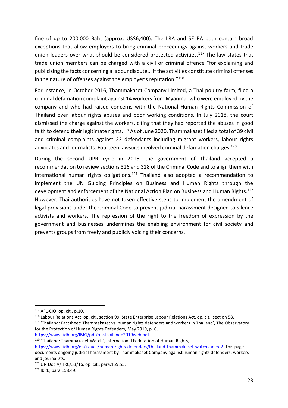fine of up to 200,000 Baht (approx. US\$6,400). The LRA and SELRA both contain broad exceptions that allow employers to bring criminal proceedings against workers and trade union leaders over what should be considered protected activities.<sup>117</sup> The law states that trade union members can be charged with a civil or criminal offence "for explaining and publicising the facts concerning a labour dispute... if the activities constitute criminal offenses in the nature of offenses against the employer's reputation."<sup>118</sup>

For instance, in October 2016, Thammakaset Company Limited, a Thai poultry farm, filed a criminal defamation complaint against 14 workers from Myanmar who were employed by the company and who had raised concerns with the National Human Rights Commission of Thailand over labour rights abuses and poor working conditions. In July 2018, the court dismissed the charge against the workers, citing that they had reported the abuses in good faith to defend their legitimate rights.<sup>119</sup> As of June 2020, Thammakaset filed a total of 39 civil and criminal complaints against 23 defendants including migrant workers, labour rights advocates and journalists. Fourteen lawsuits involved criminal defamation charges.<sup>120</sup>

During the second UPR cycle in 2016, the government of Thailand accepted a recommendation to review sections 326 and 328 of the Criminal Code and to align them with international human rights obligations.<sup>121</sup> Thailand also adopted a recommendation to implement the UN Guiding Principles on Business and Human Rights through the development and enforcement of the National Action Plan on Business and Human Rights. 122 However, Thai authorities have not taken effective steps to implement the amendment of legal provisions under the Criminal Code to prevent judicial harassment designed to silence activists and workers. The repression of the right to the freedom of expression by the government and businesses undermines the enabling environment for civil society and prevents groups from freely and publicly voicing their concerns.

<sup>117</sup> AFL-CIO, op. cit., p.10.

<sup>118</sup> Labour Relations Act, op. cit., section 99; State Enterprise Labour Relations Act, op. cit., section 58. <sup>119</sup> 'Thailand: Factsheet: Thammakaset vs. human rights defenders and workers in Thailand', The Observatory for the Protection of Human Rights Defenders, May 2019, p. 6, [https://www.fidh.org/IMG/pdf/obsthailande2019web.pdf.](https://www.fidh.org/IMG/pdf/obsthailande2019web.pdf)

<sup>&</sup>lt;sup>120</sup> 'Thailand: Thammakaset Watch', International Federation of Human Rights,

[https://www.fidh.org/en/issues/human-rights-defenders/thailand-thammakaset-watch#ancre2.](https://www.fidh.org/en/issues/human-rights-defenders/thailand-thammakaset-watch#ancre2) This page documents ongoing judicial harassment by Thammakaset Company against human rights defenders, workers and journalists.

 $121$  UN Doc A/HRC/33/16, op. cit., para.159.55.

<sup>122</sup> Ibid., para.158.49.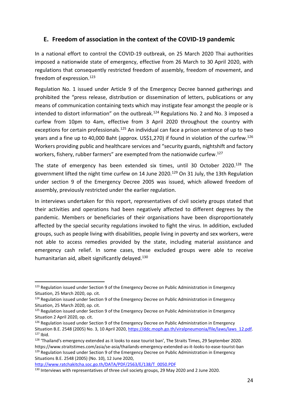# <span id="page-23-0"></span>**E. Freedom of association in the context of the COVID-19 pandemic**

In a national effort to control the COVID-19 outbreak, on 25 March 2020 Thai authorities imposed a nationwide state of emergency, effective from 26 March to 30 April 2020, with regulations that consequently restricted freedom of assembly, freedom of movement, and freedom of expression.<sup>123</sup>

Regulation No. 1 issued under Article 9 of the Emergency Decree banned gatherings and prohibited the "press release, distribution or dissemination of letters, publications or any means of communication containing texts which may instigate fear amongst the people or is intended to distort information" on the outbreak.<sup>124</sup> Regulations No. 2 and No. 3 imposed a curfew from 10pm to 4am, effective from 3 April 2020 throughout the country with exceptions for certain professionals.<sup>125</sup> An individual can face a prison sentence of up to two years and a fine up to 40,000 Baht (approx. US\$1,270) if found in violation of the curfew.<sup>126</sup> Workers providing public and healthcare services and "security guards, nightshift and factory workers, fishery, rubber farmers" are exempted from the nationwide curfew.<sup>127</sup>

The state of emergency has been extended six times, until 30 October 2020.<sup>128</sup> The government lifted the night time curfew on 14 June 2020.<sup>129</sup> On 31 July, the 13th Regulation under section 9 of the Emergency Decree 2005 was issued, which allowed freedom of assembly, previously restricted under the earlier regulation.

In interviews undertaken for this report, representatives of civil society groups stated that their activities and operations had been negatively affected to different degrees by the pandemic. Members or beneficiaries of their organisations have been disproportionately affected by the special security regulations invoked to fight the virus. In addition, excluded groups, such as people living with disabilities, people living in poverty and sex workers, were not able to access remedies provided by the state, including material assistance and emergency cash relief. In some cases, these excluded groups were able to receive humanitarian aid, albeit significantly delayed.<sup>130</sup>

Situations B.E. 2548 (2005) (No. 10), 12 June 2020,

<sup>&</sup>lt;sup>123</sup> Regulation issued under Section 9 of the Emergency Decree on Public Administration in Emergency Situation, 25 March 2020, op. cit.

<sup>&</sup>lt;sup>124</sup> Regulation issued under Section 9 of the Emergency Decree on Public Administration in Emergency Situation, 25 March 2020, op. cit.

<sup>125</sup> Regulation issued under Section 9 of the Emergency Decree on Public Administration in Emergency Situation 2 April 2020, op. cit.

 $126$  Regulation issued under Section 9 of the Emergency Decree on Public Administration in Emergency Situation B.E. 2548 (2005) No. 3, 10 April 2020[, https://ddc.moph.go.th/viralpneumonia/file/laws/laws\\_12.pdf.](https://ddc.moph.go.th/viralpneumonia/file/laws/laws_12.pdf)  $127$  Ibid.

<sup>128 &#</sup>x27;Thailand's emergency extended as it looks to ease tourist ban', The Straits Times, 29 September 2020. https://www.straitstimes.com/asia/se-asia/thailands-emergency-extended-as-it-looks-to-ease-tourist-ban <sup>129</sup> Regulation Issued under Section 9 of the Emergency Decree on Public Administration in Emergency

[http://www.ratchakitcha.soc.go.th/DATA/PDF/2563/E/138/T\\_0050.PDF](http://www.ratchakitcha.soc.go.th/DATA/PDF/2563/E/138/T_0050.PDF) 130 Interviews with representatives of three civil society groups, 29 May 2020 and 2 June 2020.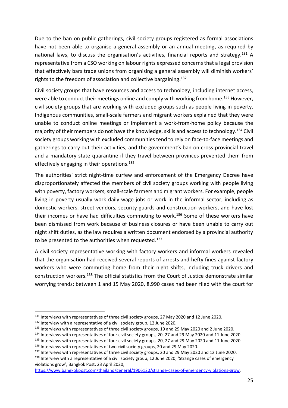Due to the ban on public gatherings, civil society groups registered as formal associations have not been able to organise a general assembly or an annual meeting, as required by national laws, to discuss the organisation's activities, financial reports and strategy.<sup>131</sup> A representative from a CSO working on labour rights expressed concerns that a legal provision that effectively bars trade unions from organising a general assembly will diminish workers' rights to the freedom of association and collective bargaining.<sup>132</sup>

Civil society groups that have resources and access to technology, including internet access, were able to conduct their meetings online and comply with working from home.<sup>133</sup> However, civil society groups that are working with excluded groups such as people living in poverty, Indigenous communities, small-scale farmers and migrant workers explained that they were unable to conduct online meetings or implement a work-from-home policy because the majority of their members do not have the knowledge, skills and access to technology.<sup>134</sup> Civil society groups working with excluded communities tend to rely on face-to-face meetings and gatherings to carry out their activities, and the government's ban on cross-provincial travel and a mandatory state quarantine if they travel between provinces prevented them from effectively engaging in their operations. 135

The authorities' strict night-time curfew and enforcement of the Emergency Decree have disproportionately affected the members of civil society groups working with people living with poverty, factory workers, small-scale farmers and migrant workers. For example, people living in poverty usually work daily-wage jobs or work in the informal sector, including as domestic workers, street vendors, security guards and construction workers, and have lost their incomes or have had difficulties commuting to work.<sup>136</sup> Some of these workers have been dismissed from work because of business closures or have been unable to carry out night shift duties, as the law requires a written document endorsed by a provincial authority to be presented to the authorities when requested. $^{137}$ 

A civil society representative working with factory workers and informal workers revealed that the organisation had received several reports of arrests and hefty fines against factory workers who were commuting home from their night shifts, including truck drivers and construction workers.<sup>138</sup> The official statistics from the Court of Justice demonstrate similar worrying trends: between 1 and 15 May 2020, 8,990 cases had been filed with the court for

<sup>131</sup> Interviews with representatives of three civil society groups, 27 May 2020 and 12 June 2020.

<sup>&</sup>lt;sup>132</sup> Interview with a representative of a civil society group, 12 June 2020.

<sup>133</sup> Interviews with representatives of three civil society groups, 19 and 29 May 2020 and 2 June 2020.

<sup>134</sup> Interviews with representatives of four civil society groups, 20, 27 and 29 May 2020 and 11 June 2020.

<sup>135</sup> Interviews with representatives of four civil society groups, 20, 27 and 29 May 2020 and 11 June 2020.

<sup>&</sup>lt;sup>136</sup> Interviews with representatives of two civil society groups, 20 and 29 May 2020.

<sup>&</sup>lt;sup>137</sup> Interviews with representatives of three civil society groups, 20 and 29 May 2020 and 12 June 2020.

<sup>&</sup>lt;sup>138</sup> Interview with a representative of a civil society group, 12 June 2020; 'Strange cases of emergency violations grow', Bangkok Post, 23 April 2020,

[https://www.bangkokpost.com/thailand/general/1906120/strange-cases-of-emergency-violations-grow.](https://www.bangkokpost.com/thailand/general/1906120/strange-cases-of-emergency-violations-grow)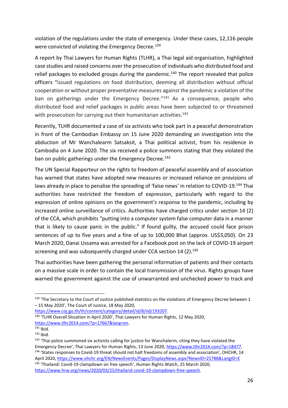violation of the regulations under the state of emergency. Under these cases, 12,116 people were convicted of violating the Emergency Decree. 139

A report by Thai Lawyers for Human Rights (TLHR), a Thai legal aid organisation, highlighted case studies and raised concerns over the prosecution of individuals who distributed food and relief packages to excluded groups during the pandemic.<sup>140</sup> The report revealed that police officers "issued regulations on food distribution, deeming all distribution without official cooperation or without proper preventative measures against the pandemic a violation of the ban on gatherings under the Emergency Decree."<sup>141</sup> As a consequence, people who distributed food and relief packages in public areas have been subjected to or threatened with prosecution for carrying out their humanitarian activities. 142

Recently, TLHR documented a case of six activists who took part in a peaceful demonstration in front of the Cambodian Embassy on 15 June 2020 demanding an investigation into the abduction of Mr Wanchalearm Satsaksit, a Thai political activist, from his residence in Cambodia on 4 June 2020. The six received a police summons stating that they violated the ban on public gatherings under the Emergency Decree.<sup>143</sup>

The UN Special Rapporteur on the rights to freedom of peaceful assembly and of association has warned that states have adopted new measures or increased reliance on provisions of laws already in place to penalise the spreading of 'false news' in relation to COVID-19.<sup>144</sup> Thai authorities have restricted the freedom of expression, particularly with regard to the expression of online opinions on the government's response to the pandemic, including by increased online surveillance of critics. Authorities have charged critics under section 14 (2) of the CCA, which prohibits "putting into a computer system false computer data in a manner that is likely to cause panic in the public." If found guilty, the accused could face prison sentences of up to five years and a fine of up to 100,000 Bhat (approx. US\$3,050). On 23 March 2020, Danai Ussama was arrested for a Facebook post on the lack of COVID-19 airport screening and was subsequently charged under CCA section 14 (2).<sup>145</sup>

Thai authorities have been gathering the personal information of patients and their contacts on a massive scale in order to contain the local transmission of the virus. Rights groups have warned the government against the use of unwarranted and unchecked power to track and

<sup>&</sup>lt;sup>139</sup> 'The Secretary to the Court of Justice published statistics on the violations of Emergency Decree between 1 – 15 May 2020', The Court of Justice, 18 May 2020,

[https://www.coj.go.th/th/content/category/detail/id/8/iid/193207.](https://www.coj.go.th/th/content/category/detail/id/8/iid/193207)

<sup>140</sup> 'TLHR Overall Situation in April 2020', Thai Lawyers for Human Rights, 12 May 2020, [https://www.tlhr2014.com/?p=17667&lang=en.](https://www.tlhr2014.com/?p=17667&lang=en)

<sup>141</sup> Ibid.

 $142$  Ibid.

<sup>&</sup>lt;sup>143</sup> 'Thai police summoned six activists calling for justice for Wanchalerm, citing they have violated the Emergency Decree', Thai Lawyers for Human Rights, 13 June 2020, [https://www.tlhr2014.com/?p=18477.](https://www.tlhr2014.com/?p=18477) <sup>144</sup> 'States responses to Covid-19 threat should not halt freedoms of assembly and association', OHCHR, 14 April 2020[, https://www.ohchr.org/EN/NewsEvents/Pages/DisplayNews.aspx?NewsID=25788&LangID=E](https://www.ohchr.org/EN/NewsEvents/Pages/DisplayNews.aspx?NewsID=25788&LangID=E) <sup>145</sup> 'Thailand: Covid-19 clampdown on free speech', Human Rights Watch, 25 March 2020,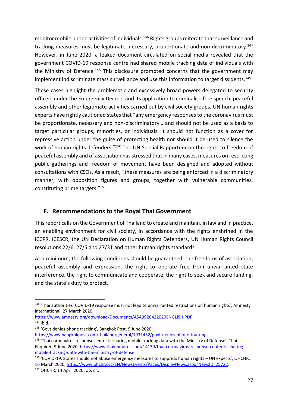monitor mobile phone activities of individuals.<sup>146</sup> Rights groups reiterate that surveillance and tracking measures must be legitimate, necessary, proportionate and non-discriminatory.<sup>147</sup> However, in June 2020, a leaked document circulated on social media revealed that the government COVID-19 response centre had shared mobile tracking data of individuals with the Ministry of Defence.<sup>148</sup> This disclosure prompted concerns that the government may implement indiscriminate mass surveillance and use this information to target dissidents.<sup>149</sup>

These cases highlight the problematic and excessively broad powers delegated to security officers under the Emergency Decree, and its application to criminalise free speech, peaceful assembly and other legitimate activities carried out by civil society groups. UN human rights experts have rightly cautioned states that "any emergency responses to the coronavirus must be proportionate, necessary and non-discriminatory… and should not be used as a basis to target particular groups, minorities, or individuals. It should not function as a cover for repressive action under the guise of protecting health nor should it be used to silence the work of human rights defenders."<sup>150</sup> The UN Special Rapporteur on the rights to freedom of peaceful assembly and of association has stressed that in many cases, measures on restricting public gatherings and freedom of movement have been designed and adopted without consultations with CSOs. As a result, "these measures are being enforced in a discriminatory manner, with opposition figures and groups, together with vulnerable communities, constituting prime targets." 151

# <span id="page-26-0"></span>**F. Recommendations to the Royal Thai Government**

This report calls on the Government of Thailand to create and maintain, in law and in practice, an enabling environment for civil society, in accordance with the rights enshrined in the ICCPR, ICESCR, the UN Declaration on Human Rights Defenders, UN Human Rights Council resolutions 22/6, 27/5 and 27/31 and other human rights standards.

At a minimum, the following conditions should be guaranteed: the freedoms of association, peaceful assembly and expression, the right to operate free from unwarranted state interference, the right to communicate and cooperate, the right to seek and secure funding, and the state's duty to protect.

<sup>&</sup>lt;sup>146</sup> 'Thai authorities' COVID-19 response must not lead to unwarranted restrictions on human rights', Amnesty International, 27 March 2020,

[https://www.amnesty.org/download/Documents/ASA3920422020ENGLISH.PDF.](https://www.amnesty.org/download/Documents/ASA3920422020ENGLISH.PDF)  $147$  Ibid.

<sup>148</sup> 'Govt denies phone tracking', Bangkok Post, 9 June 2020,

[https://www.bangkokpost.com/thailand/general/1931432/govt-denies-phone-tracking.](https://www.bangkokpost.com/thailand/general/1931432/govt-denies-phone-tracking)

<sup>&</sup>lt;sup>149</sup> 'Thai coronavirus response center is sharing mobile tracking data with the Ministry of Defense', Thai Enquirer, 9 June 2020, [https://www.thaienquirer.com/14139/thai-coronavirus-response-center-is-sharing](https://www.thaienquirer.com/14139/thai-coronavirus-response-center-is-sharing-mobile-tracking-data-with-the-ministry-of-defense/)[mobile-tracking-data-with-the-ministry-of-defense.](https://www.thaienquirer.com/14139/thai-coronavirus-response-center-is-sharing-mobile-tracking-data-with-the-ministry-of-defense/)

<sup>150</sup> 'COVID-19: States should not abuse emergency measures to suppress human rights – UN experts', OHCHR, 16 March 2020, [https://www.ohchr.org/EN/NewsEvents/Pages/DisplayNews.aspx?NewsID=25722.](https://www.ohchr.org/EN/NewsEvents/Pages/DisplayNews.aspx?NewsID=25722)

<sup>151</sup> OHCHR, 14 April 2020, op. cit.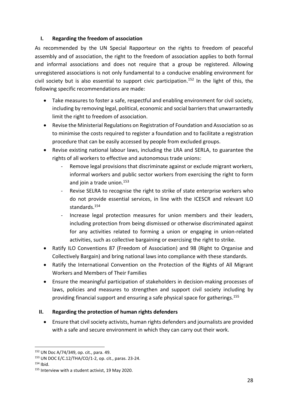#### <span id="page-27-0"></span>**I. Regarding the freedom of association**

As recommended by the UN Special Rapporteur on the rights to freedom of peaceful assembly and of association, the right to the freedom of association applies to both formal and informal associations and does not require that a group be registered. Allowing unregistered associations is not only fundamental to a conducive enabling environment for civil society but is also essential to support civic participation.<sup>152</sup> In the light of this, the following specific recommendations are made:

- Take measures to foster a safe, respectful and enabling environment for civil society, including by removing legal, political, economic and social barriers that unwarrantedly limit the right to freedom of association.
- Revise the Ministerial Regulations on Registration of Foundation and Association so as to minimise the costs required to register a foundation and to facilitate a registration procedure that can be easily accessed by people from excluded groups.
- Revise existing national labour laws, including the LRA and SERLA, to guarantee the rights of all workers to effective and autonomous trade unions:
	- Remove legal provisions that discriminate against or exclude migrant workers, informal workers and public sector workers from exercising the right to form and join a trade union. 153
	- Revise SELRA to recognise the right to strike of state enterprise workers who do not provide essential services, in line with the ICESCR and relevant ILO standards.<sup>154</sup>
	- Increase legal protection measures for union members and their leaders, including protection from being dismissed or otherwise discriminated against for any activities related to forming a union or engaging in union-related activities, such as collective bargaining or exercising the right to strike.
- Ratify ILO Conventions 87 (Freedom of Association) and 98 (Right to Organise and Collectively Bargain) and bring national laws into compliance with these standards.
- Ratify the International Convention on the Protection of the Rights of All Migrant Workers and Members of Their Families
- Ensure the meaningful participation of stakeholders in decision-making processes of laws, policies and measures to strengthen and support civil society including by providing financial support and ensuring a safe physical space for gatherings. 155

# <span id="page-27-1"></span>**II. Regarding the protection of human rights defenders**

• Ensure that civil society activists, human rights defenders and journalists are provided with a safe and secure environment in which they can carry out their work.

<sup>152</sup> UN Doc A/74/349, op. cit., para. 49.

<sup>153</sup> UN DOC E/C.12/THA/CO/1-2, op. cit., paras. 23-24.

 $154$  Ibid.

<sup>155</sup> Interview with a student activist, 19 May 2020.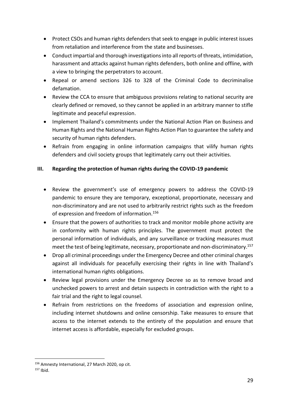- Protect CSOs and human rights defenders that seek to engage in public interest issues from retaliation and interference from the state and businesses.
- Conduct impartial and thorough investigations into all reports of threats, intimidation, harassment and attacks against human rights defenders, both online and offline, with a view to bringing the perpetrators to account.
- Repeal or amend sections 326 to 328 of the Criminal Code to decriminalise defamation.
- Review the CCA to ensure that ambiguous provisions relating to national security are clearly defined or removed, so they cannot be applied in an arbitrary manner to stifle legitimate and peaceful expression.
- Implement Thailand's commitments under the National Action Plan on Business and Human Rights and the National Human Rights Action Plan to guarantee the safety and security of human rights defenders.
- Refrain from engaging in online information campaigns that vilify human rights defenders and civil society groups that legitimately carry out their activities.

# <span id="page-28-0"></span>**III. Regarding the protection of human rights during the COVID-19 pandemic**

- Review the government's use of emergency powers to address the COVID-19 pandemic to ensure they are temporary, exceptional, proportionate, necessary and non-discriminatory and are not used to arbitrarily restrict rights such as the freedom of expression and freedom of information.<sup>156</sup>
- Ensure that the powers of authorities to track and monitor mobile phone activity are in conformity with human rights principles. The government must protect the personal information of individuals, and any surveillance or tracking measures must meet the test of being legitimate, necessary, proportionate and non-discriminatory.<sup>157</sup>
- Drop all criminal proceedings under the Emergency Decree and other criminal charges against all individuals for peacefully exercising their rights in line with Thailand's international human rights obligations.
- Review legal provisions under the Emergency Decree so as to remove broad and unchecked powers to arrest and detain suspects in contradiction with the right to a fair trial and the right to legal counsel.
- Refrain from restrictions on the freedoms of association and expression online, including internet shutdowns and online censorship. Take measures to ensure that access to the internet extends to the entirety of the population and ensure that internet access is affordable, especially for excluded groups.

<sup>156</sup> Amnesty International, 27 March 2020, op cit.

<sup>157</sup> Ibid.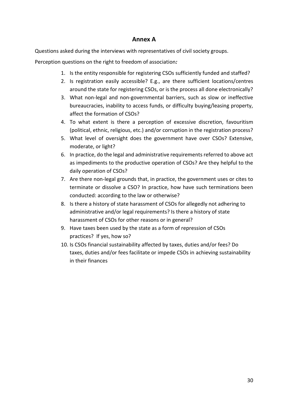# **Annex A**

Questions asked during the interviews with representatives of civil society groups.

Perception questions on the right to freedom of association*:*

- 1. Is the entity responsible for registering CSOs sufficiently funded and staffed?
- 2. Is registration easily accessible? E.g., are there sufficient locations/centres around the state for registering CSOs, or is the process all done electronically?
- 3. What non-legal and non-governmental barriers, such as slow or ineffective bureaucracies, inability to access funds, or difficulty buying/leasing property, affect the formation of CSOs?
- 4. To what extent is there a perception of excessive discretion, favouritism (political, ethnic, religious, etc.) and/or corruption in the registration process?
- 5. What level of oversight does the government have over CSOs? Extensive, moderate, or light?
- 6. In practice, do the legal and administrative requirements referred to above act as impediments to the productive operation of CSOs? Are they helpful to the daily operation of CSOs?
- 7. Are there non-legal grounds that, in practice, the government uses or cites to terminate or dissolve a CSO? In practice, how have such terminations been conducted: according to the law or otherwise?
- 8. Is there a history of state harassment of CSOs for allegedly not adhering to administrative and/or legal requirements? Is there a history of state harassment of CSOs for other reasons or in general?
- 9. Have taxes been used by the state as a form of repression of CSOs practices? If yes, how so?
- 10. Is CSOs financial sustainability affected by taxes, duties and/or fees? Do taxes, duties and/or fees facilitate or impede CSOs in achieving sustainability in their finances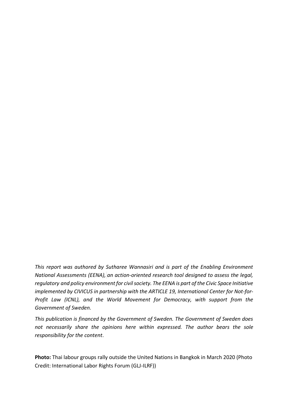*This report was authored by Sutharee Wannasiri and is part of the Enabling Environment National Assessments (EENA), an action-oriented research tool designed to assess the legal, regulatory and policy environment for civil society. The EENA is part of the Civic Space Initiative implemented by CIVICUS in partnership with the ARTICLE 19, International Center for Not-for-Profit Law (ICNL), and the World Movement for Democracy, with support from the Government of Sweden.*

*This publication is financed by the Government of Sweden. The Government of Sweden does not necessarily share the opinions here within expressed. The author bears the sole responsibility for the content*.

**Photo:** Thai labour groups rally outside the United Nations in Bangkok in March 2020 (Photo Credit: International Labor Rights Forum (GLJ-ILRF))